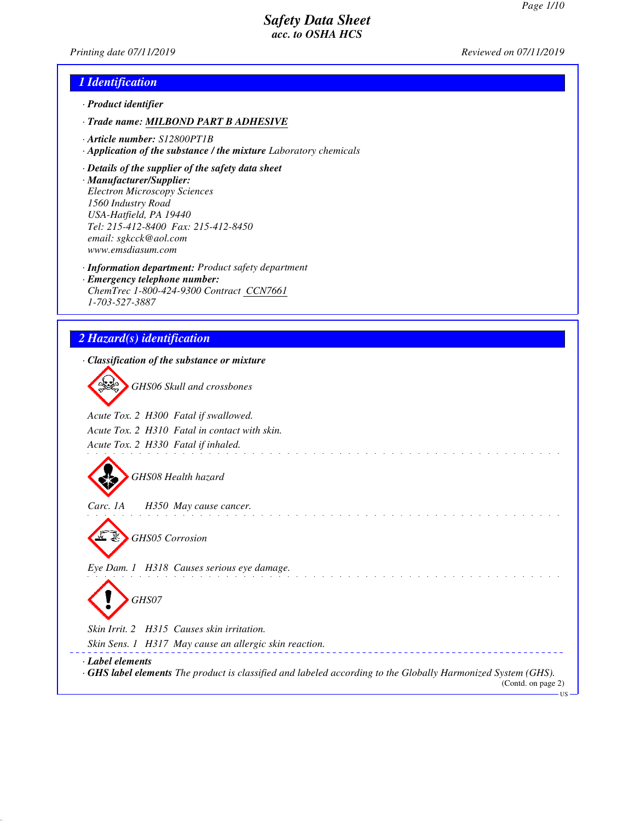*Printing date 07/11/2019 Reviewed on 07/11/2019*

# *1 Identification*

- *· Product identifier*
- *· Trade name: MILBOND PART B ADHESIVE*
- *· Article number: S12800PT1B*
- *· Application of the substance / the mixture Laboratory chemicals*
- *· Details of the supplier of the safety data sheet*
- *· Manufacturer/Supplier: Electron Microscopy Sciences 1560 Industry Road USA-Hatfield, PA 19440 Tel: 215-412-8400 Fax: 215-412-8450 email: sgkcck@aol.com www.emsdiasum.com*
- *· Information department: Product safety department*
- *· Emergency telephone number: ChemTrec 1-800-424-9300 Contract CCN7661 1-703-527-3887*

# *2 Hazard(s) identification*

| · Classification of the substance or mixture                                                                                                                            |
|-------------------------------------------------------------------------------------------------------------------------------------------------------------------------|
| GHS06 Skull and crossbones                                                                                                                                              |
| Acute Tox. 2 H300 Fatal if swallowed.                                                                                                                                   |
| Acute Tox. 2 H310 Fatal in contact with skin.                                                                                                                           |
| Acute Tox. 2 H330 Fatal if inhaled.                                                                                                                                     |
| GHS08 Health hazard                                                                                                                                                     |
| Carc. 1A<br>H350 May cause cancer.                                                                                                                                      |
| <b>GHS05</b> Corrosion                                                                                                                                                  |
| Eye Dam. 1 H318 Causes serious eye damage.                                                                                                                              |
| GHS07                                                                                                                                                                   |
| Skin Irrit. 2 H315 Causes skin irritation.                                                                                                                              |
| Skin Sens. 1 H317 May cause an allergic skin reaction.                                                                                                                  |
| · Label elements<br>$\cdot$ GHS label elements The product is classified and labeled according to the Globally Harmonized System (GHS).<br>(Contd. on page 2)<br>$US -$ |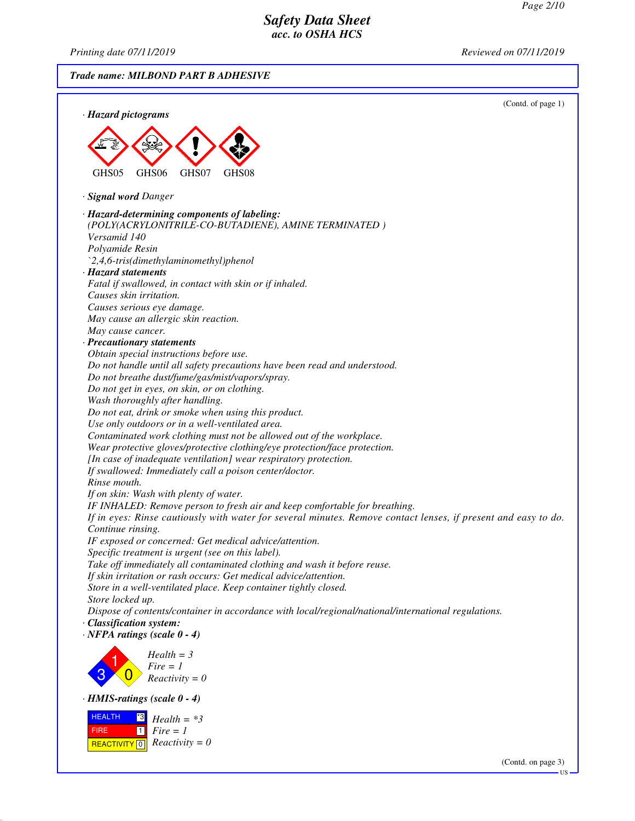*Printing date 07/11/2019 Reviewed on 07/11/2019*

*Trade name: MILBOND PART B ADHESIVE* (Contd. of page 1) *· Hazard pictograms* GHS05 GHS06 GHS07 GHS08 *· Signal word Danger · Hazard-determining components of labeling: (POLY(ACRYLONITRILE-CO-BUTADIENE), AMINE TERMINATED ) Versamid 140 Polyamide Resin `2,4,6-tris(dimethylaminomethyl)phenol · Hazard statements Fatal if swallowed, in contact with skin or if inhaled. Causes skin irritation. Causes serious eye damage. May cause an allergic skin reaction. May cause cancer. · Precautionary statements Obtain special instructions before use. Do not handle until all safety precautions have been read and understood. Do not breathe dust/fume/gas/mist/vapors/spray. Do not get in eyes, on skin, or on clothing. Wash thoroughly after handling. Do not eat, drink or smoke when using this product. Use only outdoors or in a well-ventilated area. Contaminated work clothing must not be allowed out of the workplace. Wear protective gloves/protective clothing/eye protection/face protection. [In case of inadequate ventilation] wear respiratory protection. If swallowed: Immediately call a poison center/doctor. Rinse mouth. If on skin: Wash with plenty of water. IF INHALED: Remove person to fresh air and keep comfortable for breathing. If in eyes: Rinse cautiously with water for several minutes. Remove contact lenses, if present and easy to do. Continue rinsing. IF exposed or concerned: Get medical advice/attention. Specific treatment is urgent (see on this label). Take off immediately all contaminated clothing and wash it before reuse. If skin irritation or rash occurs: Get medical advice/attention. Store in a well-ventilated place. Keep container tightly closed. Store locked up. Dispose of contents/container in accordance with local/regional/national/international regulations. · Classification system: · NFPA ratings (scale 0 - 4)* 3 1  $\overline{0}$ *Health = 3 Fire = 1 Reactivity = 0 · HMIS-ratings (scale 0 - 4)* HEALTH FIRE **REACTIVITY** 0 \*3  $\Box$ *Health = \*3 Fire = 1 Reactivity = 0* (Contd. on page 3)

US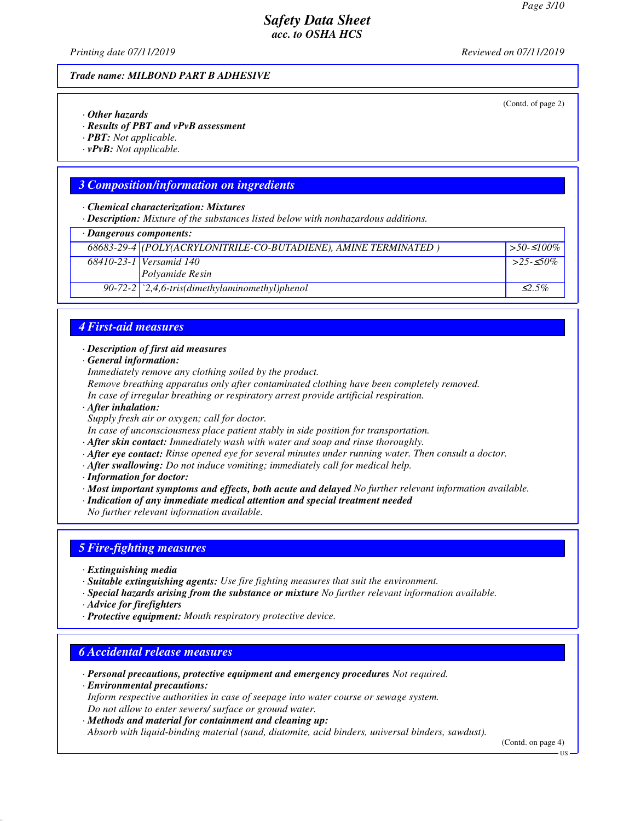(Contd. of page 2)

# *Safety Data Sheet acc. to OSHA HCS*

*Printing date 07/11/2019 Reviewed on 07/11/2019*

#### *Trade name: MILBOND PART B ADHESIVE*

*· Other hazards*

*· Results of PBT and vPvB assessment*

*· PBT: Not applicable.*

*· vPvB: Not applicable.*

### *3 Composition/information on ingredients*

*· Chemical characterization: Mixtures*

*· Description: Mixture of the substances listed below with nonhazardous additions.*

|  | · Dangerous components: |
|--|-------------------------|
|--|-------------------------|

| · Dungerous components. |                                                                 |                  |
|-------------------------|-----------------------------------------------------------------|------------------|
|                         | 68683-29-4 (POLY(ACRYLONITRILE-CO-BUTADIENE), AMINE TERMINATED) | $\geq 50.5100\%$ |
|                         | 68410-23-1 Versamid 140                                         | $>25-50\%$       |
|                         | <i>Polyamide Resin</i>                                          |                  |
|                         | $90-72-2$ $\mid$ $2,4,6$ -tris(dimethylaminomethyl)phenol       | $\leq$ 5%        |

#### *4 First-aid measures*

#### *· Description of first aid measures*

*· General information:*

*Immediately remove any clothing soiled by the product.*

*Remove breathing apparatus only after contaminated clothing have been completely removed.*

- *In case of irregular breathing or respiratory arrest provide artificial respiration.*
- *· After inhalation:*

*Supply fresh air or oxygen; call for doctor.*

*In case of unconsciousness place patient stably in side position for transportation.*

- *· After skin contact: Immediately wash with water and soap and rinse thoroughly.*
- *· After eye contact: Rinse opened eye for several minutes under running water. Then consult a doctor.*
- *· After swallowing: Do not induce vomiting; immediately call for medical help.*
- *· Information for doctor:*

*· Most important symptoms and effects, both acute and delayed No further relevant information available.*

*· Indication of any immediate medical attention and special treatment needed*

*No further relevant information available.*

#### *5 Fire-fighting measures*

- *· Extinguishing media*
- *· Suitable extinguishing agents: Use fire fighting measures that suit the environment.*
- *· Special hazards arising from the substance or mixture No further relevant information available.*
- *· Advice for firefighters*
- *· Protective equipment: Mouth respiratory protective device.*

#### *6 Accidental release measures*

*· Personal precautions, protective equipment and emergency procedures Not required.*

*· Environmental precautions: Inform respective authorities in case of seepage into water course or sewage system. Do not allow to enter sewers/ surface or ground water.*

*· Methods and material for containment and cleaning up:*

*Absorb with liquid-binding material (sand, diatomite, acid binders, universal binders, sawdust).*

(Contd. on page 4)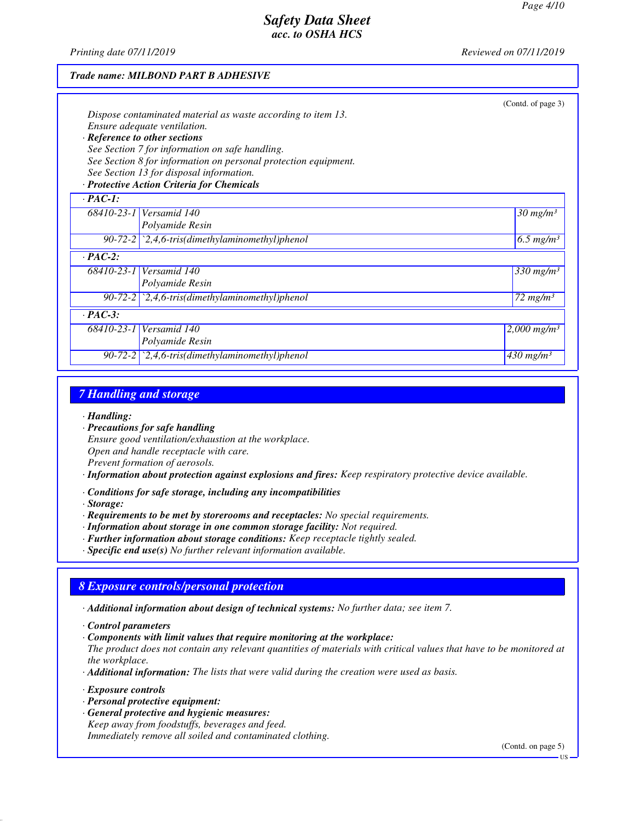(Contd. of page 3)

# *Safety Data Sheet acc. to OSHA HCS*

*Printing date 07/11/2019 Reviewed on 07/11/2019*

#### *Trade name: MILBOND PART B ADHESIVE*

| Dispose contaminated material as waste according to item 13. |
|--------------------------------------------------------------|
| Ensure adequate ventilation.                                 |
|                                                              |

# *· Reference to other sections*

*See Section 7 for information on safe handling. See Section 8 for information on personal protection equipment.*

*See Section 13 for disposal information. · Protective Action Criteria for Chemicals*

| $\cdot$ PAC-1: |                                                                          |                                |
|----------------|--------------------------------------------------------------------------|--------------------------------|
|                | 68410-23-1 Versamid 140                                                  | $30$ mg/m <sup>3</sup>         |
|                | Polyamide Resin                                                          |                                |
|                | $90-72-2$ $\mid$ $2,4,6-tris$ (dimethylaminomethyl) phenol               | $\sqrt{6.5}$ mg/m <sup>3</sup> |
| $\cdot$ PAC-2: |                                                                          |                                |
|                | 68410-23-1 Versamid 140                                                  | $330$ mg/m <sup>3</sup>        |
|                | Polyamide Resin                                                          |                                |
|                | 90-72-2 $\langle 2,4,6\text{-}tris$ (dimethylaminomethyl)phenol          | $172$ mg/m <sup>3</sup>        |
| $\cdot$ PAC-3: |                                                                          |                                |
|                | 68410-23-1 Versamid 140                                                  | $2,000$ mg/m <sup>3</sup>      |
|                | Polyamide Resin                                                          |                                |
|                | $\overline{90-72-2}$ $\overline{2,4,6}$ -tris(dimethylaminomethyl)phenol | $430$ mg/m <sup>3</sup>        |

### *7 Handling and storage*

#### *· Handling:*

*· Precautions for safe handling Ensure good ventilation/exhaustion at the workplace. Open and handle receptacle with care. Prevent formation of aerosols.*

*· Information about protection against explosions and fires: Keep respiratory protective device available.*

*· Conditions for safe storage, including any incompatibilities*

*· Storage:*

- *· Requirements to be met by storerooms and receptacles: No special requirements.*
- *· Information about storage in one common storage facility: Not required.*
- *· Further information about storage conditions: Keep receptacle tightly sealed.*
- *· Specific end use(s) No further relevant information available.*

# *8 Exposure controls/personal protection*

*· Additional information about design of technical systems: No further data; see item 7.*

*· Components with limit values that require monitoring at the workplace:*

*The product does not contain any relevant quantities of materials with critical values that have to be monitored at the workplace.*

*· Additional information: The lists that were valid during the creation were used as basis.*

*· Exposure controls*

- *· Personal protective equipment:*
- *· General protective and hygienic measures: Keep away from foodstuffs, beverages and feed. Immediately remove all soiled and contaminated clothing.*

(Contd. on page 5)

*<sup>·</sup> Control parameters*

US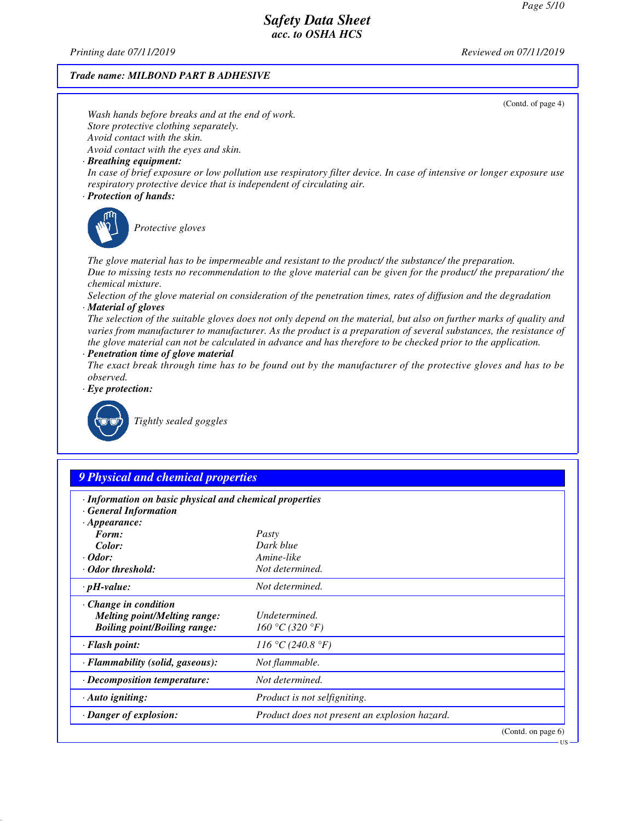*Printing date 07/11/2019 Reviewed on 07/11/2019*

#### *Trade name: MILBOND PART B ADHESIVE*

*Store protective clothing separately.*

*Avoid contact with the eyes and skin.*

*Avoid contact with the skin.*

(Contd. of page 4) *In case of brief exposure or low pollution use respiratory filter device. In case of intensive or longer exposure use*

*respiratory protective device that is independent of circulating air.*

*Wash hands before breaks and at the end of work.*

#### *· Protection of hands:*

*· Breathing equipment:*



*Protective gloves*

*The glove material has to be impermeable and resistant to the product/ the substance/ the preparation. Due to missing tests no recommendation to the glove material can be given for the product/ the preparation/ the chemical mixture.*

*Selection of the glove material on consideration of the penetration times, rates of diffusion and the degradation · Material of gloves*

*The selection of the suitable gloves does not only depend on the material, but also on further marks of quality and varies from manufacturer to manufacturer. As the product is a preparation of several substances, the resistance of the glove material can not be calculated in advance and has therefore to be checked prior to the application.*

*· Penetration time of glove material*

*The exact break through time has to be found out by the manufacturer of the protective gloves and has to be observed.*

*· Eye protection:*



*Tightly sealed goggles*

# *9 Physical and chemical properties*

| · Information on basic physical and chemical properties<br>· General Information                          |                                               |                       |
|-----------------------------------------------------------------------------------------------------------|-----------------------------------------------|-----------------------|
| $\cdot$ Appearance:                                                                                       |                                               |                       |
| Form:                                                                                                     | Pasty                                         |                       |
| Color:                                                                                                    | Dark blue                                     |                       |
| $\cdot$ Odor:                                                                                             | Amine-like                                    |                       |
| $\cdot$ Odor threshold:                                                                                   | Not determined.                               |                       |
| $\cdot$ pH-value:                                                                                         | Not determined.                               |                       |
| $\cdot$ Change in condition<br><i>Melting point/Melting range:</i><br><b>Boiling point/Boiling range:</b> | Undetermined.<br>160 °C (320 °F)              |                       |
| $\cdot$ Flash point:                                                                                      | 116 °C (240.8 °F)                             |                       |
| · Flammability (solid, gaseous):                                                                          | Not flammable.                                |                       |
| · Decomposition temperature:                                                                              | Not determined.                               |                       |
| $\cdot$ Auto igniting:                                                                                    | <i>Product is not selfigniting.</i>           |                       |
| $\cdot$ Danger of explosion:                                                                              | Product does not present an explosion hazard. |                       |
|                                                                                                           |                                               | (Contd. on page $6$ ) |

US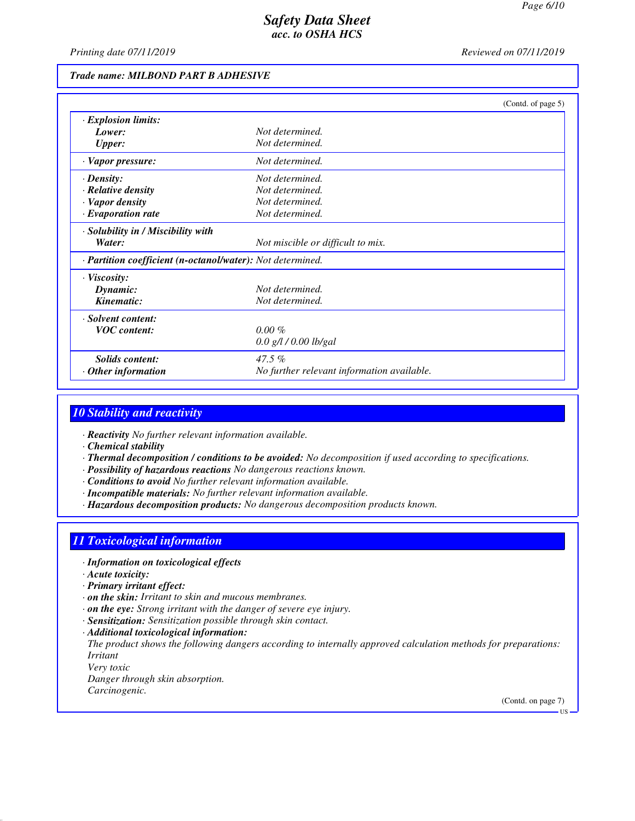*Printing date 07/11/2019 Reviewed on 07/11/2019*

#### *Trade name: MILBOND PART B ADHESIVE*

|                                                            |                                            | (Contd. of page 5) |
|------------------------------------------------------------|--------------------------------------------|--------------------|
| · Explosion limits:                                        |                                            |                    |
| Lower:                                                     | Not determined.                            |                    |
| <b>Upper:</b>                                              | Not determined.                            |                    |
| · Vapor pressure:                                          | Not determined.                            |                    |
| $\cdot$ Density:                                           | Not determined.                            |                    |
| $\cdot$ Relative density                                   | Not determined.                            |                    |
| · Vapor density                                            | Not determined.                            |                    |
| $\cdot$ Evaporation rate                                   | Not determined.                            |                    |
| · Solubility in / Miscibility with                         |                                            |                    |
| Water:                                                     | Not miscible or difficult to mix.          |                    |
| · Partition coefficient (n-octanol/water): Not determined. |                                            |                    |
| · Viscosity:                                               |                                            |                    |
| Dynamic:                                                   | Not determined.                            |                    |
| Kinematic:                                                 | Not determined.                            |                    |
| · Solvent content:                                         |                                            |                    |
| <b>VOC</b> content:                                        | $0.00 \%$                                  |                    |
|                                                            | $0.0$ g/l / 0.00 lb/gal                    |                    |
| <b>Solids content:</b>                                     | $47.5\%$                                   |                    |
| Other information                                          | No further relevant information available. |                    |

### *10 Stability and reactivity*

*· Reactivity No further relevant information available.*

- *· Chemical stability*
- *· Thermal decomposition / conditions to be avoided: No decomposition if used according to specifications.*
- *· Possibility of hazardous reactions No dangerous reactions known.*
- *· Conditions to avoid No further relevant information available.*
- *· Incompatible materials: No further relevant information available.*
- *· Hazardous decomposition products: No dangerous decomposition products known.*

#### *11 Toxicological information*

- *· Information on toxicological effects*
- *· Acute toxicity:*
- *· Primary irritant effect:*
- *· on the skin: Irritant to skin and mucous membranes.*
- *· on the eye: Strong irritant with the danger of severe eye injury.*
- *· Sensitization: Sensitization possible through skin contact.*
- *· Additional toxicological information:*

*The product shows the following dangers according to internally approved calculation methods for preparations: Irritant*

*Very toxic Danger through skin absorption. Carcinogenic.*

(Contd. on page 7)

**TIS**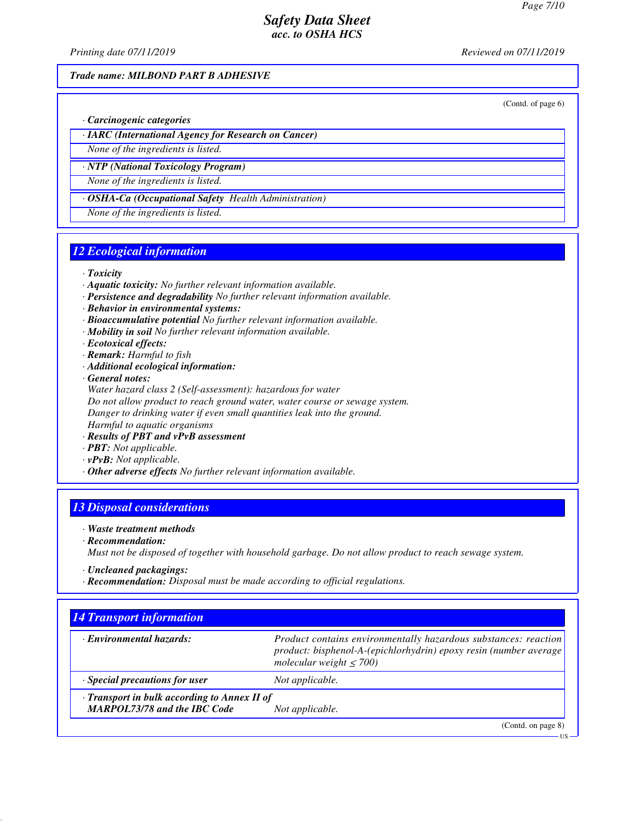*Printing date 07/11/2019 Reviewed on 07/11/2019*

#### *Trade name: MILBOND PART B ADHESIVE*

(Contd. of page 6)

*· Carcinogenic categories*

*· IARC (International Agency for Research on Cancer)*

*None of the ingredients is listed.*

*· NTP (National Toxicology Program) None of the ingredients is listed.*

*· OSHA-Ca (Occupational Safety Health Administration)*

*None of the ingredients is listed.*

### *12 Ecological information*

#### *· Toxicity*

- *· Aquatic toxicity: No further relevant information available.*
- *· Persistence and degradability No further relevant information available.*
- *· Behavior in environmental systems:*
- *· Bioaccumulative potential No further relevant information available.*
- *· Mobility in soil No further relevant information available.*
- *· Ecotoxical effects:*
- *· Remark: Harmful to fish*
- *· Additional ecological information:*
- *· General notes:*
- *Water hazard class 2 (Self-assessment): hazardous for water Do not allow product to reach ground water, water course or sewage system. Danger to drinking water if even small quantities leak into the ground. Harmful to aquatic organisms*
- *· Results of PBT and vPvB assessment*
- *· PBT: Not applicable.*
- *· vPvB: Not applicable.*
- *· Other adverse effects No further relevant information available.*

# *13 Disposal considerations*

- *· Waste treatment methods*
- *· Recommendation:*

*Must not be disposed of together with household garbage. Do not allow product to reach sewage system.*

- *· Uncleaned packagings:*
- *· Recommendation: Disposal must be made according to official regulations.*

| <b>14 Transport information</b>              |                                                                                                                                                                      |  |  |
|----------------------------------------------|----------------------------------------------------------------------------------------------------------------------------------------------------------------------|--|--|
| Environmental hazards:                       | Product contains environmentally hazardous substances: reaction<br>product: bisphenol-A-(epichlorhydrin) epoxy resin (number average<br>molecular weight $\leq$ 700) |  |  |
| $\cdot$ Special precautions for user         | Not applicable.                                                                                                                                                      |  |  |
| · Transport in bulk according to Annex II of |                                                                                                                                                                      |  |  |
| <b>MARPOL73/78 and the IBC Code</b>          | Not applicable.                                                                                                                                                      |  |  |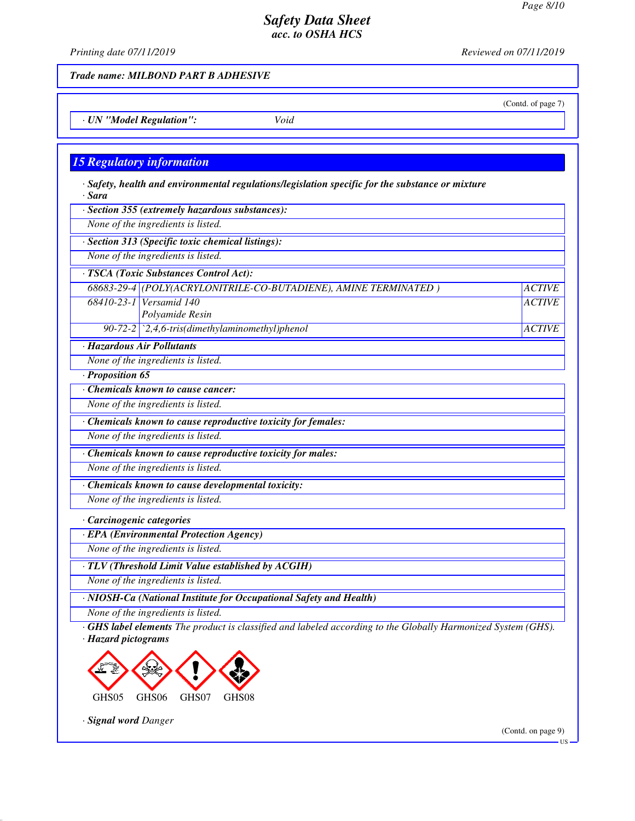(Contd. of page 7)

*ACTIVE*

# *Safety Data Sheet acc. to OSHA HCS*

*Printing date 07/11/2019 Reviewed on 07/11/2019*

*Trade name: MILBOND PART B ADHESIVE*

*· UN "Model Regulation": Void*

#### *15 Regulatory information*

*· Safety, health and environmental regulations/legislation specific for the substance or mixture · Sara*

*· Section 355 (extremely hazardous substances):*

*None of the ingredients is listed.*

*· Section 313 (Specific toxic chemical listings):*

*None of the ingredients is listed.*

*· TSCA (Toxic Substances Control Act):*

*68683-29-4 (POLY(ACRYLONITRILE-CO-BUTADIENE), AMINE TERMINATED ) ACTIVE 68410-23-1 Versamid 140 Polyamide Resin 90-72-2 `2,4,6-tris(dimethylaminomethyl)phenol ACTIVE*

*· Hazardous Air Pollutants*

*None of the ingredients is listed.*

*· Proposition 65*

*· Chemicals known to cause cancer:*

*None of the ingredients is listed.*

*· Chemicals known to cause reproductive toxicity for females:*

*None of the ingredients is listed.*

*· Chemicals known to cause reproductive toxicity for males:*

*None of the ingredients is listed.*

*· Chemicals known to cause developmental toxicity:*

*None of the ingredients is listed.*

*· Carcinogenic categories*

*· EPA (Environmental Protection Agency)*

*None of the ingredients is listed.*

*· TLV (Threshold Limit Value established by ACGIH)*

*None of the ingredients is listed.*

*· NIOSH-Ca (National Institute for Occupational Safety and Health)*

*None of the ingredients is listed.*

*· GHS label elements The product is classified and labeled according to the Globally Harmonized System (GHS). · Hazard pictograms*



*· Signal word Danger*

(Contd. on page 9)

US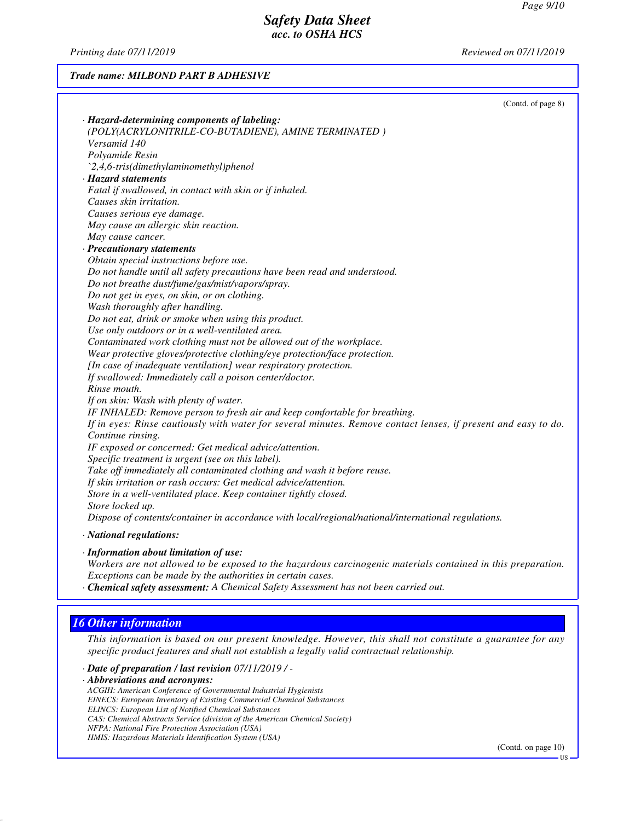*Printing date 07/11/2019 Reviewed on 07/11/2019*

#### *Trade name: MILBOND PART B ADHESIVE*

|                                                                                                                | (Contd. of page 8) |
|----------------------------------------------------------------------------------------------------------------|--------------------|
| · Hazard-determining components of labeling:                                                                   |                    |
| (POLY(ACRYLONITRILE-CO-BUTADIENE), AMINE TERMINATED)                                                           |                    |
| Versamid 140                                                                                                   |                    |
| Polyamide Resin                                                                                                |                    |
| `2,4,6-tris(dimethylaminomethyl)phenol                                                                         |                    |
| · Hazard statements                                                                                            |                    |
| Fatal if swallowed, in contact with skin or if inhaled.                                                        |                    |
| Causes skin irritation.                                                                                        |                    |
| Causes serious eye damage.                                                                                     |                    |
| May cause an allergic skin reaction.                                                                           |                    |
| May cause cancer.                                                                                              |                    |
| · Precautionary statements                                                                                     |                    |
| Obtain special instructions before use.                                                                        |                    |
| Do not handle until all safety precautions have been read and understood.                                      |                    |
| Do not breathe dust/fume/gas/mist/vapors/spray.                                                                |                    |
| Do not get in eyes, on skin, or on clothing.                                                                   |                    |
| Wash thoroughly after handling.                                                                                |                    |
| Do not eat, drink or smoke when using this product.                                                            |                    |
| Use only outdoors or in a well-ventilated area.                                                                |                    |
| Contaminated work clothing must not be allowed out of the workplace.                                           |                    |
| Wear protective gloves/protective clothing/eye protection/face protection.                                     |                    |
| [In case of inadequate ventilation] wear respiratory protection.                                               |                    |
| If swallowed: Immediately call a poison center/doctor.                                                         |                    |
| Rinse mouth.                                                                                                   |                    |
| If on skin: Wash with plenty of water.                                                                         |                    |
| IF INHALED: Remove person to fresh air and keep comfortable for breathing.                                     |                    |
| If in eyes: Rinse cautiously with water for several minutes. Remove contact lenses, if present and easy to do. |                    |
| Continue rinsing.                                                                                              |                    |
| IF exposed or concerned: Get medical advice/attention.                                                         |                    |
| Specific treatment is urgent (see on this label).                                                              |                    |
| Take off immediately all contaminated clothing and wash it before reuse.                                       |                    |
| If skin irritation or rash occurs: Get medical advice/attention.                                               |                    |
| Store in a well-ventilated place. Keep container tightly closed.                                               |                    |
| Store locked up.                                                                                               |                    |
| Dispose of contents/container in accordance with local/regional/national/international regulations.            |                    |

*· Information about limitation of use:*

*Workers are not allowed to be exposed to the hazardous carcinogenic materials contained in this preparation. Exceptions can be made by the authorities in certain cases.*

*· Chemical safety assessment: A Chemical Safety Assessment has not been carried out.*

# *16 Other information*

*This information is based on our present knowledge. However, this shall not constitute a guarantee for any specific product features and shall not establish a legally valid contractual relationship.*

*· Date of preparation / last revision 07/11/2019 / -*

*· Abbreviations and acronyms:*

*ACGIH: American Conference of Governmental Industrial Hygienists EINECS: European Inventory of Existing Commercial Chemical Substances ELINCS: European List of Notified Chemical Substances CAS: Chemical Abstracts Service (division of the American Chemical Society) NFPA: National Fire Protection Association (USA) HMIS: Hazardous Materials Identification System (USA)*

(Contd. on page 10)